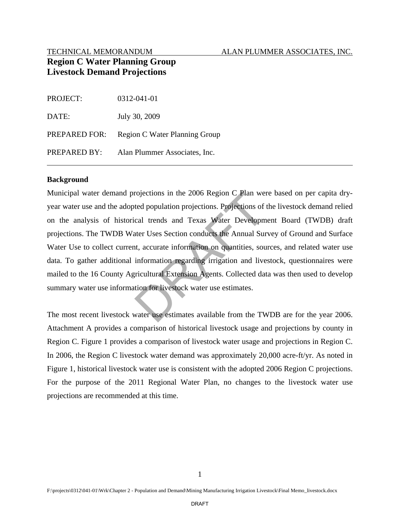#### TECHNICAL MEMORANDUM ALAN PLUMMER ASSOCIATES, INC.

# **Region C Water Planning Group Livestock Demand Projections**

| <b>PROJECT:</b> | 0312-041-01                   |
|-----------------|-------------------------------|
| DATE:           | July 30, 2009                 |
| PREPARED FOR:   | Region C Water Planning Group |
| PREPARED BY:    | Alan Plummer Associates, Inc. |

#### **Background**

 data. To gather additional information regarding irrigation and livestock, questionnaires were Municipal water demand projections in the 2006 Region C Plan were based on per capita dryyear water use and the adopted population projections. Projections of the livestock demand relied on the analysis of historical trends and Texas Water Development Board (TWDB) draft projections. The TWDB Water Uses Section conducts the Annual Survey of Ground and Surface Water Use to collect current, accurate information on quantities, sources, and related water use mailed to the 16 County Agricultural Extension Agents. Collected data was then used to develop summary water use information for livestock water use estimates. rojections in the 2006 Region C Plan we<br>ted population projections. Projections of<br>cal trends and Texas Water Developm<br>atter Uses Section conducts the Annual Sun<br>t, accurate information on quantities, sou<br>information regar

The most recent livestock water use estimates available from the TWDB are for the year 2006. Attachment A provides a comparison of historical livestock usage and projections by county in Region C. Figure 1 provides a comparison of livestock water usage and projections in Region C. In 2006, the Region C livestock water demand was approximately 20,000 acre-ft/yr. As noted in Figure 1, historical livestock water use is consistent with the adopted 2006 Region C projections. For the purpose of the 2011 Regional Water Plan, no changes to the livestock water use projections are recommended at this time.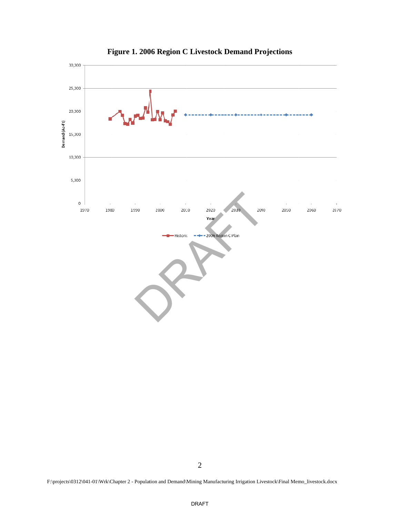

**F igure 1. 200 6 Region C C Livestock Demand Pr rojections**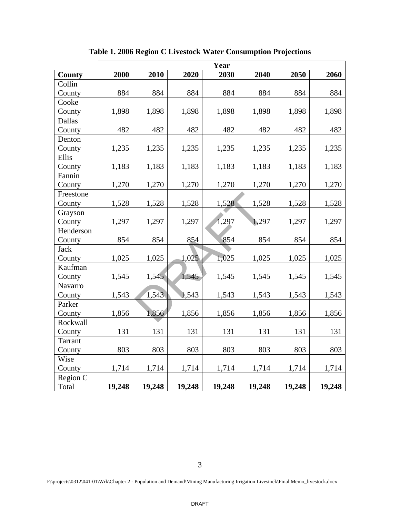|                | Year   |        |        |        |        |        |        |  |  |
|----------------|--------|--------|--------|--------|--------|--------|--------|--|--|
| <b>County</b>  | 2000   | 2010   | 2020   | 2030   | 2040   | 2050   | 2060   |  |  |
| Collin         |        |        |        |        |        |        |        |  |  |
| County         | 884    | 884    | 884    | 884    | 884    | 884    | 884    |  |  |
| Cooke          |        |        |        |        |        |        |        |  |  |
| County         | 1,898  | 1,898  | 1,898  | 1,898  | 1,898  | 1,898  | 1,898  |  |  |
| Dallas         |        |        |        |        |        |        |        |  |  |
| County         | 482    | 482    | 482    | 482    | 482    | 482    | 482    |  |  |
| Denton         |        |        |        |        |        |        |        |  |  |
| County         | 1,235  | 1,235  | 1,235  | 1,235  | 1,235  | 1,235  | 1,235  |  |  |
| Ellis          |        |        |        |        |        |        |        |  |  |
| County         | 1,183  | 1,183  | 1,183  | 1,183  | 1,183  | 1,183  | 1,183  |  |  |
| Fannin         |        |        |        |        |        |        |        |  |  |
| County         | 1,270  | 1,270  | 1,270  | 1,270  | 1,270  | 1,270  | 1,270  |  |  |
| Freestone      |        |        |        |        |        |        |        |  |  |
| County         | 1,528  | 1,528  | 1,528  | 1,528  | 1,528  | 1,528  | 1,528  |  |  |
| Grayson        |        |        |        |        |        |        |        |  |  |
| County         | 1,297  | 1,297  | 1,297  | 1,297  | 1,297  | 1,297  | 1,297  |  |  |
| Henderson      |        |        |        |        |        |        |        |  |  |
| County         | 854    | 854    | 854    | 854    | 854    | 854    | 854    |  |  |
| <b>Jack</b>    |        |        |        |        |        |        |        |  |  |
| County         | 1,025  | 1,025  | 1,025  | 1,025  | 1,025  | 1,025  | 1,025  |  |  |
| Kaufman        |        |        |        |        |        |        |        |  |  |
| County         | 1,545  | 1,545  | 1,545  | 1,545  | 1,545  | 1,545  | 1,545  |  |  |
| Navarro        |        |        |        |        |        |        |        |  |  |
| County         | 1,543  | 1,543  | 1,543  | 1,543  | 1,543  | 1,543  | 1,543  |  |  |
| Parker         |        |        |        |        |        |        |        |  |  |
| County         | 1,856  | 1,856  | 1,856  | 1,856  | 1,856  | 1,856  | 1,856  |  |  |
| Rockwall       |        |        |        |        |        |        |        |  |  |
| County         | 131    | 131    | 131    | 131    | 131    | 131    | 131    |  |  |
| <b>Tarrant</b> |        |        |        |        |        |        |        |  |  |
| County         | 803    | 803    | 803    | 803    | 803    | 803    | 803    |  |  |
| Wise           |        |        |        |        |        |        |        |  |  |
| County         | 1,714  | 1,714  | 1,714  | 1,714  | 1,714  | 1,714  | 1,714  |  |  |
| Region C       |        |        |        |        |        |        |        |  |  |
| Total          | 19,248 | 19,248 | 19,248 | 19,248 | 19,248 | 19,248 | 19,248 |  |  |

**Table 1. 2006 Region C Livestock Water Consumption Projections**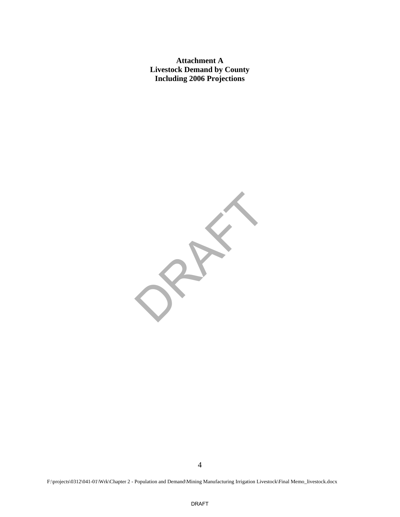**Attachment A Livestock Demand by County Including 2006 Projections** 

 DRAFT

F:\projects\0312\041-01\Wrk\Chapter 2 - Population and Demand\Mining Manufacturing Irrigation Livestock\Final Memo\_livestock.docx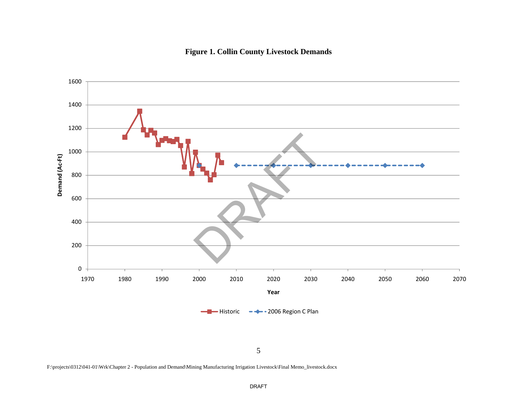## **Figure 1. Collin County Livestock Demands**



5

F:\projects\0312\041-01\Wrk\Chapter 2 - Population and Demand\Mining Manufacturing Irrigation Livestock\Final Memo\_livestock.docx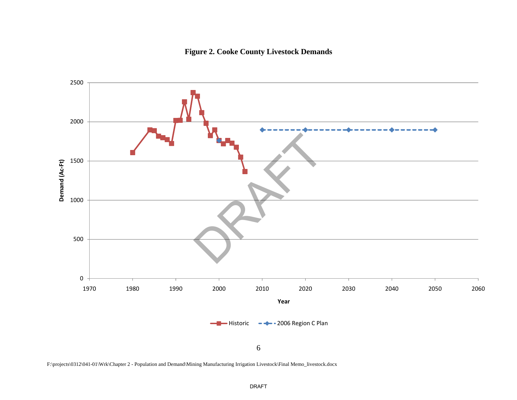## **Figure 2. Cooke County Livestock Demands**



F:\projects\0312\041-01\Wrk\Chapter 2 - Population and Demand\Mining Manufacturing Irrigation Livestock\Final Memo\_livestock.docx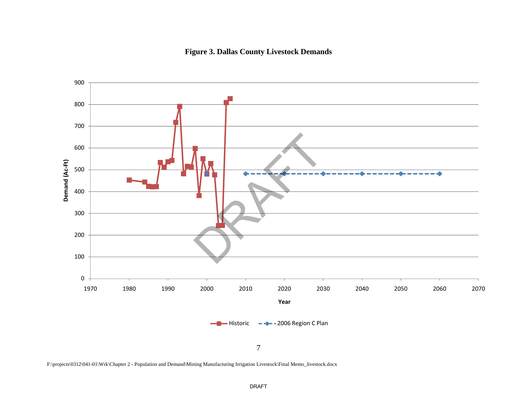## **Figure 3. Dallas County Livestock Demands**



F:\projects\0312\041-01\Wrk\Chapter 2 - Population and Demand\Mining Manufacturing Irrigation Livestock\Final Memo\_livestock.docx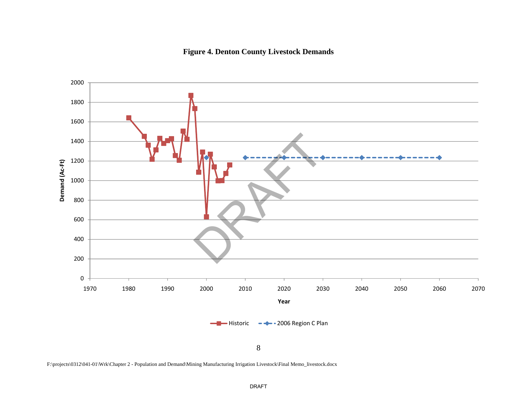#### **Figure 4. Denton County Livestock Demands**



F:\projects\0312\041-01\Wrk\Chapter 2 - Population and Demand\Mining Manufacturing Irrigation Livestock\Final Memo\_livestock.docx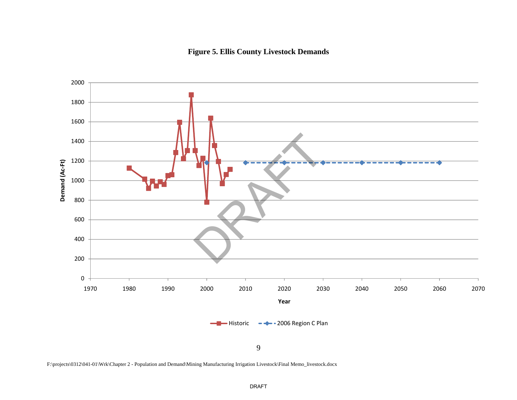#### **Figure 5. Ellis County Livestock Demands**



F:\projects\0312\041-01\Wrk\Chapter 2 - Population and Demand\Mining Manufacturing Irrigation Livestock\Final Memo\_livestock.docx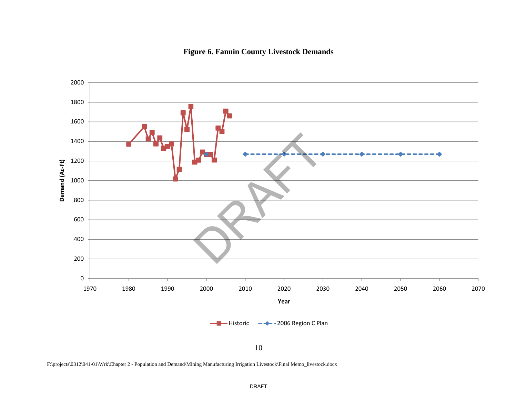## **Figure 6. Fannin County Livestock Demands**



F:\projects\0312\041-01\Wrk\Chapter 2 - Population and Demand\Mining Manufacturing Irrigation Livestock\Final Memo\_livestock.docx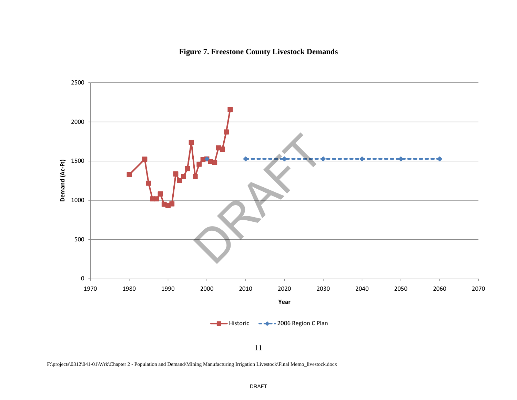



F:\projects\0312\041-01\Wrk\Chapter 2 - Population and Demand\Mining Manufacturing Irrigation Livestock\Final Memo\_livestock.docx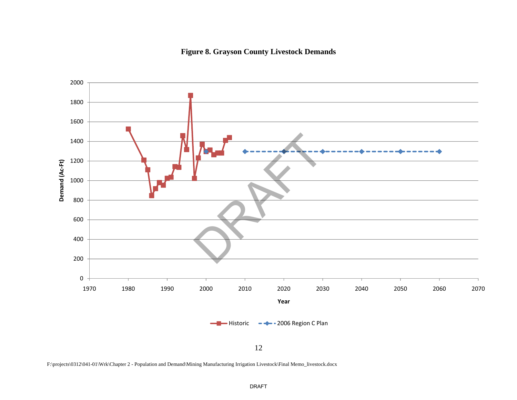## **Figure 8. Grayson County Livestock Demands**



12

F:\projects\0312\041-01\Wrk\Chapter 2 - Population and Demand\Mining Manufacturing Irrigation Livestock\Final Memo\_livestock.docx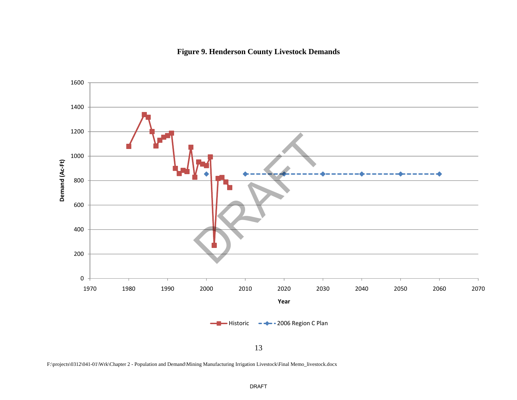## **Figure 9. Henderson County Livestock Demands**



F:\projects\0312\041-01\Wrk\Chapter 2 - Population and Demand\Mining Manufacturing Irrigation Livestock\Final Memo\_livestock.docx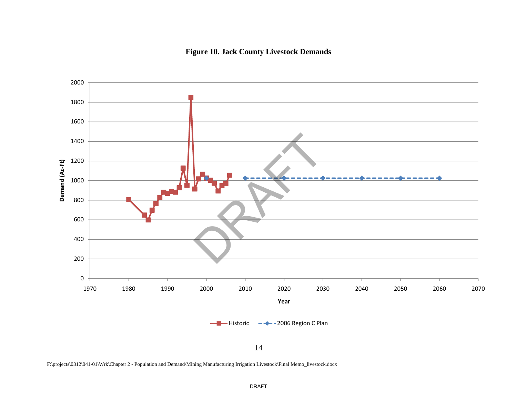#### **Figure 10. Jack County Livestock Demands**



14

F:\projects\0312\041-01\Wrk\Chapter 2 - Population and Demand\Mining Manufacturing Irrigation Livestock\Final Memo\_livestock.docx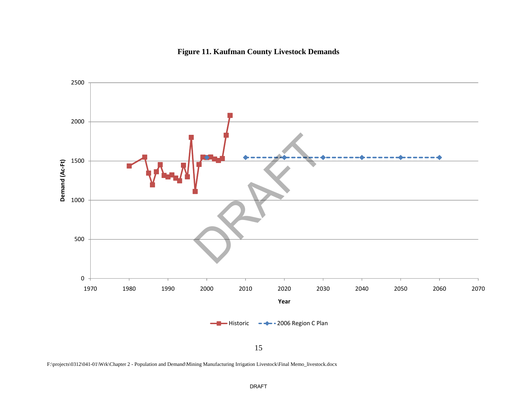## **Figure 11. Kaufman County Livestock Demands**



15

F:\projects\0312\041-01\Wrk\Chapter 2 - Population and Demand\Mining Manufacturing Irrigation Livestock\Final Memo\_livestock.docx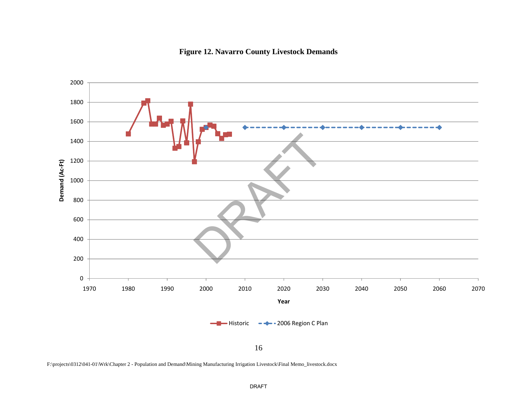



F:\projects\0312\041-01\Wrk\Chapter 2 - Population and Demand\Mining Manufacturing Irrigation Livestock\Final Memo\_livestock.docx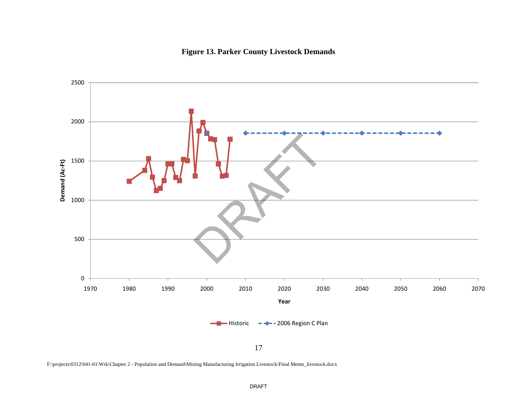#### **Figure 13. Parker County Livestock Demands**



F:\projects\0312\041-01\Wrk\Chapter 2 - Population and Demand\Mining Manufacturing Irrigation Livestock\Final Memo\_livestock.docx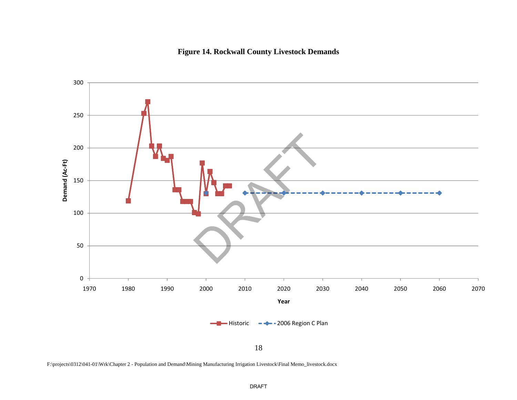## **Figure 14. Rockwall County Livestock Demands**



F:\projects\0312\041-01\Wrk\Chapter 2 - Population and Demand\Mining Manufacturing Irrigation Livestock\Final Memo\_livestock.docx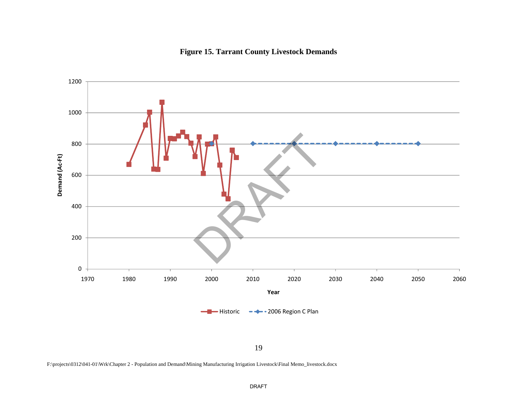



F:\projects\0312\041-01\Wrk\Chapter 2 - Population and Demand\Mining Manufacturing Irrigation Livestock\Final Memo\_livestock.docx